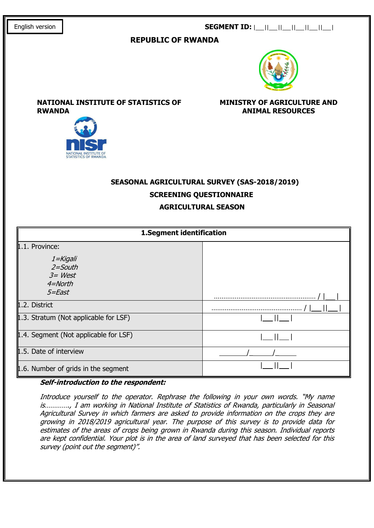## SEGMENT ID: |\_\_||\_\_||\_\_||\_\_||\_\_||\_\_|

## REPUBLIC OF RWANDA



NATIONAL INSTITUTE OF STATISTICS OF RWANDA

MINISTRY OF AGRICULTURE AND ANIMAL RESOURCES



# SEASONAL AGRICULTURAL SURVEY (SAS-2018/2019) SCREENING QUESTIONNAIRE AGRICULTURAL SEASON

| 1.Segment identification                                       |  |  |  |  |  |
|----------------------------------------------------------------|--|--|--|--|--|
| 1.1. Province:                                                 |  |  |  |  |  |
| 1=Kigali<br>$2 =$ South<br>$3 = West$<br>$4 = North$<br>5=East |  |  |  |  |  |
| 1.2. District                                                  |  |  |  |  |  |
| $\vert$ 1.3. Stratum (Not applicable for LSF)                  |  |  |  |  |  |
| 1.4. Segment (Not applicable for LSF)                          |  |  |  |  |  |
| 1.5. Date of interview                                         |  |  |  |  |  |
| $\,\,\parallel$ 1.6. Number of grids in the segment            |  |  |  |  |  |

## Self-introduction to the respondent:

Introduce yourself to the operator. Rephrase the following in your own words. "My name is…………., I am working in National Institute of Statistics of Rwanda, particularly in Seasonal Agricultural Survey in which farmers are asked to provide information on the crops they are growing in 2018/2019 agricultural year. The purpose of this survey is to provide data for estimates of the areas of crops being grown in Rwanda during this season. Individual reports are kept confidential. Your plot is in the area of land surveyed that has been selected for this survey (point out the segment)".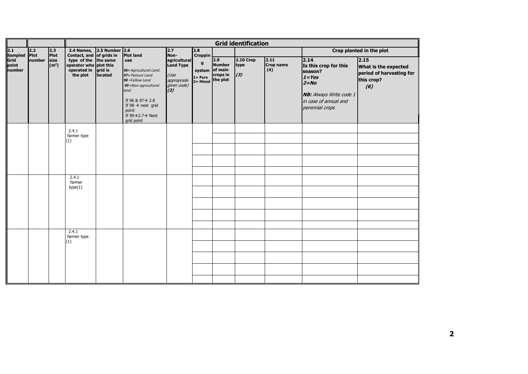|                         |        |                           | <b>Grid identification</b>                                                |                    |                                                                                                                                                                                                                               |                                                                        |                                                                     |                                              |                          |                          |                                                                                                                                                 |                                                                               |
|-------------------------|--------|---------------------------|---------------------------------------------------------------------------|--------------------|-------------------------------------------------------------------------------------------------------------------------------------------------------------------------------------------------------------------------------|------------------------------------------------------------------------|---------------------------------------------------------------------|----------------------------------------------|--------------------------|--------------------------|-------------------------------------------------------------------------------------------------------------------------------------------------|-------------------------------------------------------------------------------|
| 2.1<br>Sampled Plot     | 2.2    | 2.3<br>Plot               | 2.4 Names, 2.5 Number 2.6<br>Contact, and of grids in                     |                    | <b>Plot land</b>                                                                                                                                                                                                              | 2.7<br>Non-                                                            | 2.8<br><b>Croppin</b><br>g<br>system of main<br>1= Pure<br>2= Mixed |                                              |                          | Crop planted in the plot |                                                                                                                                                 |                                                                               |
| Grid<br>point<br>number | number | size<br>(m <sup>2</sup> ) | type of the the same<br>operator who plot this<br>operated in<br>the plot | grid is<br>located | use<br>96= Agricultural Land<br>97= Pasture Land<br>98 = Fallow Land<br>99 = Non-agricultural<br>land<br>If 96 & 97 → 2.8<br>If $98 \rightarrow$ next grid<br>point<br>If $99 \rightarrow 2.7 \rightarrow$ Next<br>grid point | agricultural<br>Land Type<br>(Use<br>appropriate<br>given code)<br>(2) |                                                                     | 2.9<br><b>Number</b><br>crops in<br>the plot | 2.10 Crop<br>type<br>(3) | 2.11<br>Crop name<br>(4) | 2.14<br>Is this crop for this<br>season?<br>$1 = Yes$<br>$2 = No$<br><b>NB:</b> Always Write code 1<br>in case of annual and<br>perennial crops | 2.15<br>What is the expected<br>period of harvesting for<br>this crop?<br>(6) |
|                         |        |                           | 2.4.1<br>farmer type<br>(1)                                               |                    |                                                                                                                                                                                                                               |                                                                        |                                                                     |                                              |                          |                          |                                                                                                                                                 |                                                                               |
|                         |        |                           | 2.4.1<br>farmer<br>type(1)                                                |                    |                                                                                                                                                                                                                               |                                                                        |                                                                     |                                              |                          |                          |                                                                                                                                                 |                                                                               |
|                         |        |                           | 2.4.1<br>farmer type<br>(1)                                               |                    |                                                                                                                                                                                                                               |                                                                        |                                                                     |                                              |                          |                          |                                                                                                                                                 |                                                                               |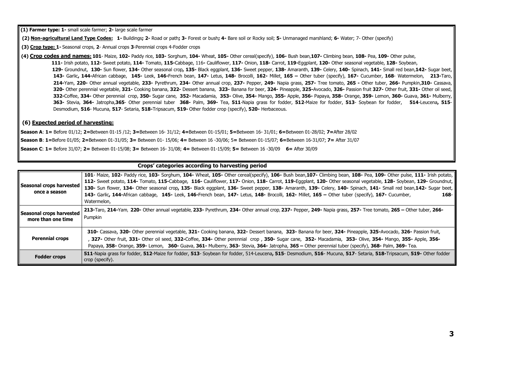(1) Farmer type: 1- small scale farmer; 2- large scale farmer

(2) Non-agricultural Land Type Codes: 1- Buildings; 2- Road or path; 3- Forest or bush; 4- Bare soil or Rocky soil; 5- Unmanaged marshland; 6- Water; 7- Other (specify)

(3) Crop type: 1- Seasonal crops, 2- Annual crops 3-Perennial crops 4-Fodder crops

(4) Crop codes and names: 101- Maize, 102- Paddy rice, 103- Sorghum, 104- Wheat, 105- Other cereal(specify), 106- Bush bean, 107- Climbing bean, 108- Pea, 109- Other pulse,

111- Irish potato, 112- Sweet potato, 114- Tomato, 115-Cabbage, 116- Cauliflower, 117- Onion, 118- Carrot, 119-Eggplant, 120- Other seasonal vegetable, 128- Soybean,

129- Groundnut, 130- Sun flower, 134- Other seasonal crop, 135- Black eggplant, 136- Sweet pepper, 138- Amaranth, 139- Celery, 140- Spinach, 141- Small red bean, 142- Sugar beet, 143- Garlic, 144-African cabbage, 145- Leek, 146-French bean, 147- Letus, 148- Brocolli, 162- Millet, 165 – Other tuber (specify), 167- Cucumber, 168- Watermelon, 213-Taro, 214-Yam, 220- Other annual vegetable, 233- Pyrethrum, 234- Other annual crop, 237- Pepper, 249- Napia grass, 257- Tree tomato, 265 - Other tuber, 266- Pumpkin,310- Cassava, 320- Other perennial vegetable, 321- Cooking banana, 322- Dessert banana, 323- Banana for beer, 324- Pineapple, 325-Avocado, 326- Passion fruit 327- Other fruit, 331- Other oil seed, 332-Coffee, 334- Other perennial crop, 350- Sugar cane, 352- Macadamia, 353- Olive, 354- Mango, 355- Apple, 356- Papaya, 358- Orange, 359- Lemon, 360- Guava, 361- Mulberry, 363- Stevia, 364- Jatropha, 365- Other perennial tuber 368- Palm, 369- Tea, 511-Napia grass for fodder, 512-Maize for fodder, 513- Sovbean for fodder, 514-Leucena, 515-Desmodium, 516- Mucuna, 517- Setaria, 518-Tripsacum, 519- Other fodder crop (specify), 520- Herbaceous.

#### (6) Expected period of harvesting:

Season A: 1 = Before 01/12; 2=Between 01-15 /12; 3=Between 16- 31/12; 4=Between 01-15/01; 5=Between 16- 31/01; 6=Between 01-28/02; 7=After 28/02

Season B: 1=Before 01/05; 2=Between 01-31/05; 3= Between 01-15/06; 4= Between 16-30/06; 5= Between 01-15/07; 6=Between 16-31/07; 7= After 31/07

Season C: 1 = Before 31/07; 2 = Between 01-15/08; 3 = Between 16-31/08; 4 = Between 01-15/09; 5 = Between 16-30/09 6 = After 30/09

#### Crops' categories according to harvesting period

| Seasonal crops harvested<br>once a season      | 101- Maize, 102- Paddy rice, 103- Sorghum, 104- Wheat, 105- Other cereal(specify), 106- Bush bean, 107- Climbing bean, 108- Pea, 109- Other pulse, 111- Irish potato,<br>112- Sweet potato, 114- Tomato, 115-Cabbage, 116- Cauliflower, 117- Onion, 118- Carrot, 119-Eggplant, 120- Other seasonal vegetable, 128- Soybean, 129- Groundnut,<br>130- Sun flower, 134- Other seasonal crop, 135- Black eggplant, 136- Sweet pepper, 138- Amaranth, 139- Celery, 140- Spinach, 141- Small red bean, 142- Sugar beet,<br>143- Garlic, 144-African cabbage, 145- Leek, 146-French bean, 147- Letus, 148- Brocolli, 162- Millet, 165 - Other tuber (specify), 167- Cucumber,<br>$168 -$<br>Watermelon, |
|------------------------------------------------|--------------------------------------------------------------------------------------------------------------------------------------------------------------------------------------------------------------------------------------------------------------------------------------------------------------------------------------------------------------------------------------------------------------------------------------------------------------------------------------------------------------------------------------------------------------------------------------------------------------------------------------------------------------------------------------------------|
| Seasonal crops harvested<br>more than one time | 213-Taro, 214-Yam, 220- Other annual vegetable, 233- Pyrethrum, 234- Other annual crop, 237- Pepper, 249- Napia grass, 257- Tree tomato, 265 - Other tuber, 266-<br>Pumpkin                                                                                                                                                                                                                                                                                                                                                                                                                                                                                                                      |
| <b>Perennial crops</b>                         | 310- Cassava, 320- Other perennial vegetable, 321- Cooking banana, 322- Dessert banana, 323- Banana for beer, 324- Pineapple, 325-Avocado, 326- Passion fruit,<br>, 327- Other fruit, 331- Other oil seed, 332-Coffee, 334- Other perennial crop, 350- Sugar cane, 352- Macadamia, 353- Olive, 354- Mango, 355- Apple, 356-<br>Papaya, 358- Orange, 359- Lemon, 360- Guava, 361- Mulberry, 363- Stevia, 364- Jatropha, 365 - Other perennial tuber (specify), 368- Palm, 369- Tea.                                                                                                                                                                                                               |
| <b>Fodder crops</b>                            | 511-Napia grass for fodder, 512-Maize for fodder, 513- Soybean for fodder, 514-Leucena, 515- Desmodium, 516- Mucuna, 517- Setaria, 518-Tripsacum, 519- Other fodder<br>crop (specify).                                                                                                                                                                                                                                                                                                                                                                                                                                                                                                           |